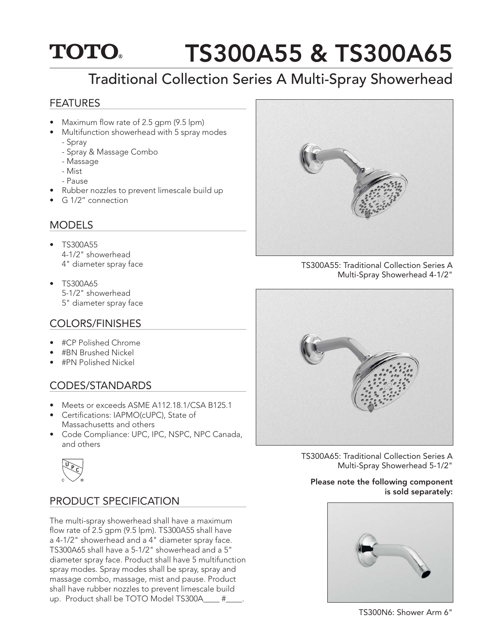## **TOTO** TS300A55 & TS300A65

# Traditional Collection Series A Multi-Spray Showerhead

### FEATURES

- Maximum flow rate of 2.5 gpm (9.5 lpm)
- Multifunction showerhead with 5 spray modes - Spray
	- Spray & Massage Combo
	- Massage
	- Mist
	- Pause
- Rubber nozzles to prevent limescale build up
- G 1/2" connection

### MODELS

- TS300A55 4-1/2" showerhead 4" diameter spray face
- TS300A65 5-1/2" showerhead 5" diameter spray face

## COLORS/FINISHES

- #CP Polished Chrome
- #BN Brushed Nickel
- #PN Polished Nickel

## CODES/STANDARDS

- Meets or exceeds ASME A112.18.1/CSA B125.1
- Certifications: IAPMO(cUPC), State of Massachusetts and others
- Code Compliance: UPC, IPC, NSPC, NPC Canada, and others



## PRODUCT SPECIFICATION

The multi-spray showerhead shall have a maximum flow rate of  $2.5$  gpm (9.5 lpm). TS300A55 shall have a 4-1/2" showerhead and a 4" diameter spray face. TS300A65 shall have a 5-1/2" showerhead and a 5" diameter spray face. Product shall have 5 multifunction spray modes. Spray modes shall be spray, spray and massage combo, massage, mist and pause. Product shall have rubber nozzles to prevent limescale build up. Product shall be TOTO Model TS300A #



TS300A55: Traditional Collection Series A Multi-Spray Showerhead 4-1/2"



TS300A65: Traditional Collection Series A Multi-Spray Showerhead 5-1/2"

#### Please note the following component is sold separately:



TS300N6: Shower Arm 6"